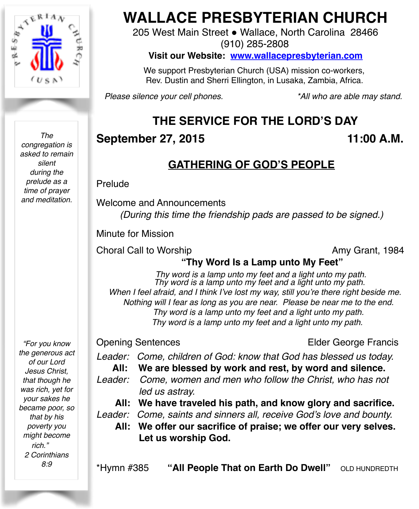

*The congregation is asked to remain silent during the prelude as a time of prayer and meditation.*

*"For you know the generous act of our Lord Jesus Christ, that though he was rich, yet for your sakes he became poor, so that by his poverty you might become rich." 2 Corinthians 8:9*

# **WALLACE PRESBYTERIAN CHURCH**

205 West Main Street . Wallace, North Carolina 28466 (910) 285-2808

**Visit our Website: [www.wallacepresbyterian.com](http://www.wallacepresbyterian.com)**

 We support Presbyterian Church (USA) mission co-workers, Rev. Dustin and Sherri Ellington, in Lusaka, Zambia, Africa.

*Please silence your cell phones. \*All who are able may stand.*

# **THE SERVICE FOR THE LORD'S DAY**

# **September 27, 2015 11:00 A.M.**

# **GATHERING OF GOD'S PEOPLE**

Prelude

Welcome and Announcements *(During this time the friendship pads are passed to be signed.)*

Minute for Mission

Choral Call to Worship **Amy Grant**, 1984

#### **"Thy Word Is a Lamp unto My Feet"**

*Thy word is a lamp unto my feet and a light unto my path. Thy word is a lamp unto my feet and a light unto my path. When I feel afraid, and I think I've lost my way, still you're there right beside me. Nothing will I fear as long as you are near. Please be near me to the end. Thy word is a lamp unto my feet and a light unto my path. Thy word is a lamp unto my feet and a light unto my path.*

Opening Sentences Elder George Francis

*Leader: Come, children of God: know that God has blessed us today.* 

**All: We are blessed by work and rest, by word and silence.** 

- *Leader: Come, women and men who follow the Christ, who has not led us astray.* 
	- **All: We have traveled his path, and know glory and sacrifice.**
- *Leader: Come, saints and sinners all, receive God's love and bounty.*
	- **All: We offer our sacrifice of praise; we offer our very selves. Let us worship God.**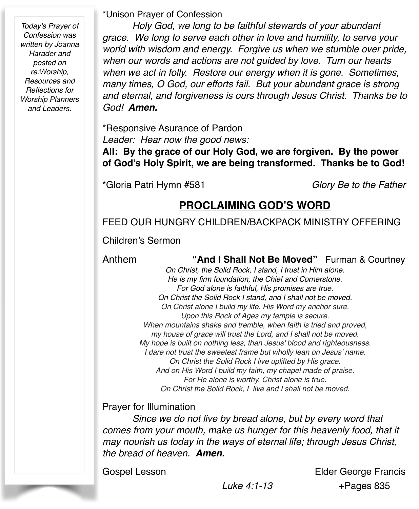*Today's Prayer of Confession was written by Joanna Harader and posted on re:Worship, Resources and Reflections for Worship Planners and Leaders.*

\*Unison Prayer of Confession

*Holy God, we long to be faithful stewards of your abundant grace. We long to serve each other in love and humility, to serve your world with wisdom and energy. Forgive us when we stumble over pride, when our words and actions are not guided by love. Turn our hearts when we act in folly. Restore our energy when it is gone. Sometimes, many times, O God, our efforts fail. But your abundant grace is strong and eternal, and forgiveness is ours through Jesus Christ. Thanks be to God! Amen.*

\*Responsive Asurance of Pardon! ! *Leader: Hear now the good news:*

**All: By the grace of our Holy God, we are forgiven. By the power of God's Holy Spirit, we are being transformed. Thanks be to God!**

\*Gloria Patri Hymn #581 *Glory Be to the Father*

#### **PROCLAIMING GOD'S WORD**

#### FEED OUR HUNGRY CHILDREN/BACKPACK MINISTRY OFFERING

Children's Sermon

#### Anthem **"And I Shall Not Be Moved"** Furman & Courtney

*On Christ, the Solid Rock, I stand, I trust in Him alone. He is my firm foundation, the Chief and Cornerstone. For God alone is faithful, His promises are true. On Christ the Solid Rock I stand, and I shall not be moved. On Christ alone I build my life. His Word my anchor sure. Upon this Rock of Ages my temple is secure. When mountains shake and tremble, when faith is tried and proved, my house of grace will trust the Lord, and I shall not be moved. My hope is built on nothing less, than Jesus' blood and righteousness. I dare not trust the sweetest frame but wholly lean on Jesus' name. On Christ the Solid Rock I live uplifted by His grace. And on His Word I build my faith, my chapel made of praise. For He alone is worthy. Christ alone is true. On Christ the Solid Rock, I live and I shall not be moved.*

Prayer for Illumination

*Since we do not live by bread alone, but by every word that comes from your mouth, make us hunger for this heavenly food, that it may nourish us today in the ways of eternal life; through Jesus Christ, the bread of heaven. Amen.*

Gospel Lesson Elder George Francis  *Luke 4:1-13* +Pages 835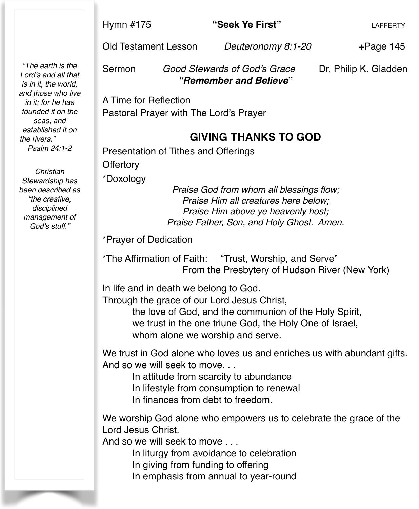#### Hymn #175 **"Seek Ye First"** LAFFERTY

Old Testament Lesson *Deuteronomy 8:1-20* +Page 145

*"The earth is the Lord's and all that is in it, the world, and those who live in it; for he has founded it on the seas, and established it on the rivers." Psalm 24:1-2*

*Christian Stewardship has been described as "the creative, disciplined management of God's stuff."* 

Sermon *Good Stewards of God's Grace* Dr. Philip K. Gladden ! ! *"Remember and Believe***"**

A Time for Reflection Pastoral Prayer with The Lord's Prayer

#### **GIVING THANKS TO GOD**

Presentation of Tithes and Offerings

**Offertory** 

\*Doxology

*Praise God from whom all blessings flow; Praise Him all creatures here below; Praise Him above ye heavenly host; Praise Father, Son, and Holy Ghost. Amen.*

\*Prayer of Dedication

\*The Affirmation of Faith: "Trust, Worship, and Serve" From the Presbytery of Hudson River (New York)

In life and in death we belong to God. Through the grace of our Lord Jesus Christ,

> the love of God, and the communion of the Holy Spirit, we trust in the one triune God, the Holy One of Israel, whom alone we worship and serve.

We trust in God alone who loves us and enriches us with abundant gifts. And so we will seek to move.

In attitude from scarcity to abundance

In lifestyle from consumption to renewal

In finances from debt to freedom.

We worship God alone who empowers us to celebrate the grace of the Lord Jesus Christ.

And so we will seek to move . . .

In liturgy from avoidance to celebration

In giving from funding to offering

In emphasis from annual to year-round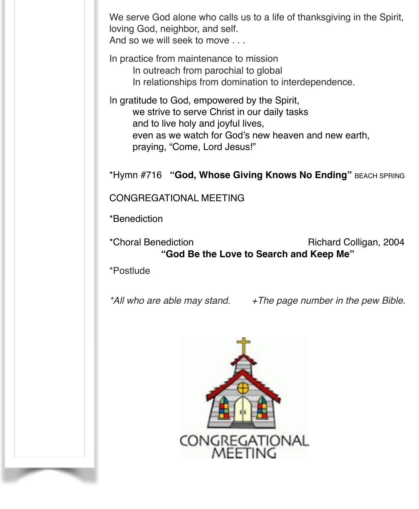We serve God alone who calls us to a life of thanksgiving in the Spirit, loving God, neighbor, and self. And so we will seek to move . . .

In practice from maintenance to mission In outreach from parochial to global In relationships from domination to interdependence.

In gratitude to God, empowered by the Spirit, we strive to serve Christ in our daily tasks and to live holy and joyful lives, even as we watch for God's new heaven and new earth, praying, "Come, Lord Jesus!"

\*Hymn #716 **"God, Whose Giving Knows No Ending"** BEACH SPRING

#### CONGREGATIONAL MEETING

\*Benediction

\*Choral Benediction Richard Colligan, 2004 **"God Be the Love to Search and Keep Me"**

\*Postlude

*\*All who are able may stand. +The page number in the pew Bible.*

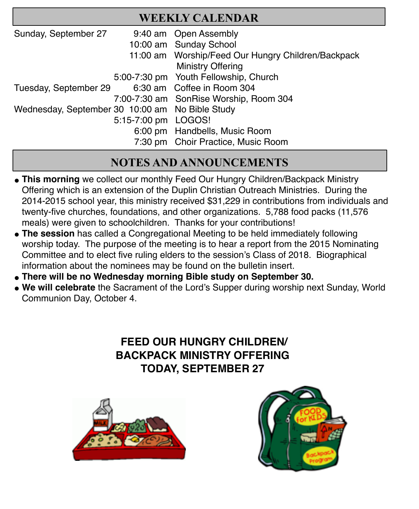#### **WEEKLY CALENDAR**

| Sunday, September 27                            |                     | 9:40 am Open Assembly                              |
|-------------------------------------------------|---------------------|----------------------------------------------------|
|                                                 |                     | 10:00 am Sunday School                             |
|                                                 |                     | 11:00 am Worship/Feed Our Hungry Children/Backpack |
|                                                 |                     | <b>Ministry Offering</b>                           |
|                                                 |                     | 5:00-7:30 pm Youth Fellowship, Church              |
| Tuesday, September 29                           |                     | 6:30 am Coffee in Room 304                         |
|                                                 |                     | 7:00-7:30 am SonRise Worship, Room 304             |
| Wednesday, September 30 10:00 am No Bible Study |                     |                                                    |
|                                                 | 5:15-7:00 pm LOGOS! |                                                    |
|                                                 |                     | 6:00 pm Handbells, Music Room                      |
|                                                 |                     | 7:30 pm Choir Practice, Music Room                 |

# **NOTES AND ANNOUNCEMENTS**

- **This morning** we collect our monthly Feed Our Hungry Children/Backpack Ministry Offering which is an extension of the Duplin Christian Outreach Ministries. During the 2014-2015 school year, this ministry received \$31,229 in contributions from individuals and twenty-five churches, foundations, and other organizations. 5,788 food packs (11,576 meals) were given to schoolchildren. Thanks for your contributions!
- The session has called a Congregational Meeting to be held immediately following worship today. The purpose of the meeting is to hear a report from the 2015 Nominating Committee and to elect five ruling elders to the session's Class of 2018. Biographical information about the nominees may be found on the bulletin insert.
- **" There will be no Wednesday morning Bible study on September 30.**
- **" We will celebrate** the Sacrament of the Lord's Supper during worship next Sunday, World Communion Day, October 4.

# **FEED OUR HUNGRY CHILDREN/ BACKPACK MINISTRY OFFERING TODAY, SEPTEMBER 27**



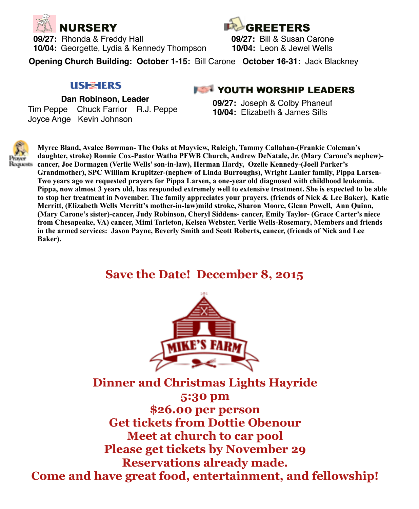

**09/27:** Rhonda & Freddy Hall **09/27:** Bill & Susan Carone **10/04:** Georgette, Lydia & Kennedy Thompson **10/04:** Leon & Jewel Wells



**Opening Church Building: October 1-15:** Bill Carone **October 16-31:** Jack Blackney

#### **USE TERS**

 **Dan Robinson, Leader**

 Tim Peppe Chuck Farrior R.J. Peppe Joyce Ange Kevin Johnson

#### **FET YOUTH WORSHIP LEADERS**

**09/27:** Joseph & Colby Phaneuf **10/04:** Elizabeth & James Sills



**Myree Bland, Avalee Bowman- The Oaks at Mayview, Raleigh, Tammy Callahan-(Frankie Coleman's daughter, stroke) Ronnie Cox-Pastor Watha PFWB Church, Andrew DeNatale, Jr. (Mary Carone's nephew) cancer, Joe Dormagen (Verlie Wells' son-in-law), Herman Hardy, Ozelle Kennedy-(Joell Parker's Grandmother), SPC William Krupitzer-(nephew of Linda Burroughs), Wright Lanier family, Pippa Larsen-Two years ago we requested prayers for Pippa Larsen, a one-year old diagnosed with childhood leukemia. Pippa, now almost 3 years old, has responded extremely well to extensive treatment. She is expected to be able to stop her treatment in November. The family appreciates your prayers. (friends of Nick & Lee Baker), Katie Merritt, (Elizabeth Wells Merritt's mother-in-law)mild stroke, Sharon Moore, Glenn Powell, Ann Quinn, (Mary Carone's sister)-cancer, Judy Robinson, Cheryl Siddens- cancer, Emily Taylor- (Grace Carter's niece from Chesapeake, VA) cancer, Mimi Tarleton, Kelsea Webster, Verlie Wells-Rosemary, Members and friends in the armed services: Jason Payne, Beverly Smith and Scott Roberts, cancer, (friends of Nick and Lee Baker).**

# **Save the Date! December 8, 2015**



**Dinner and Christmas Lights Hayride 5:30 pm \$26.00 per person Get tickets from Dottie Obenour Meet at church to car pool Please get tickets by November 29 Reservations already made. Come and have great food, entertainment, and fellowship!**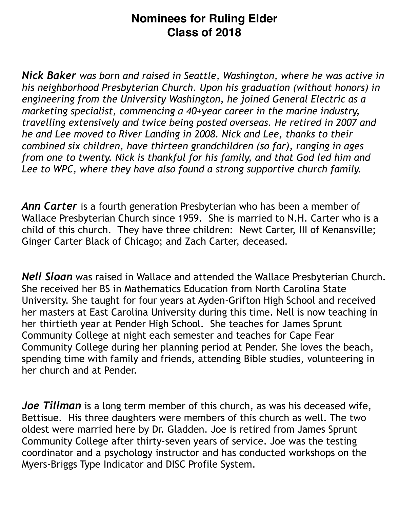# **Nominees for Ruling Elder Class of 2018**

*Nick Baker was born and raised in Seattle, Washington, where he was active in his neighborhood Presbyterian Church. Upon his graduation (without honors) in engineering from the University Washington, he joined General Electric as a marketing specialist, commencing a 40+year career in the marine industry, travelling extensively and twice being posted overseas. He retired in 2007 and he and Lee moved to River Landing in 2008. Nick and Lee, thanks to their combined six children, have thirteen grandchildren (so far), ranging in ages from one to twenty. Nick is thankful for his family, and that God led him and Lee to WPC, where they have also found a strong supportive church family.*

*Ann Carter* is a fourth generation Presbyterian who has been a member of Wallace Presbyterian Church since 1959. She is married to N.H. Carter who is a child of this church. They have three children: Newt Carter, III of Kenansville; Ginger Carter Black of Chicago; and Zach Carter, deceased.

*Nell Sloan* was raised in Wallace and attended the Wallace Presbyterian Church. She received her BS in Mathematics Education from North Carolina State University. She taught for four years at Ayden-Grifton High School and received her masters at East Carolina University during this time. Nell is now teaching in her thirtieth year at Pender High School. She teaches for James Sprunt Community College at night each semester and teaches for Cape Fear Community College during her planning period at Pender. She loves the beach, spending time with family and friends, attending Bible studies, volunteering in her church and at Pender.

*Joe Tillman* is a long term member of this church, as was his deceased wife, Bettisue. His three daughters were members of this church as well. The two oldest were married here by Dr. Gladden. Joe is retired from James Sprunt Community College after thirty-seven years of service. Joe was the testing coordinator and a psychology instructor and has conducted workshops on the Myers-Briggs Type Indicator and DISC Profile System.